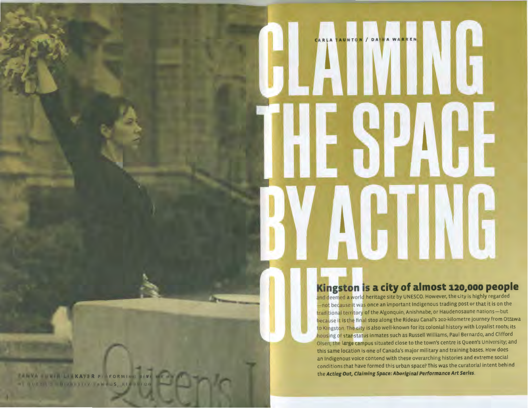## **ARLA TAUNTON** / DA

## Kingston is a city of almost 120,000 people

and deemed a world heritage site by UNESCO. However, the city is highly regarded —riot bec<mark>ause i</mark>t was once an important Indigenous trading post or that it is on the traditional territory of the Algonquin, Anishnabe, or Haudenosaune nations—but because it is the final stop along the Rideau Canal's 202-kilometre journey from Ottawa<br>to Kingston. The city is also well-known for its colonial history with Loyalist roots; its housing of star-status inmates such as Russell Williams, Paul Bernardo, and Clifford Olsen; the large campus situated close to the town's centre is Queen's University; and this same location is one of Canada's major military and training bases. How does an Indigenous voice contend with these overarching histories and extreme social conditions that have formed this urban space? This was the curatorial intent behind the *Acting Out, Claiming Space: Aboriginal Performance Art Series.* 

TANYA INWIN LINKATER PI FORMINI SIVE ME HA -T QUEEN S DIWNISTIY FAMOUS, KIN FION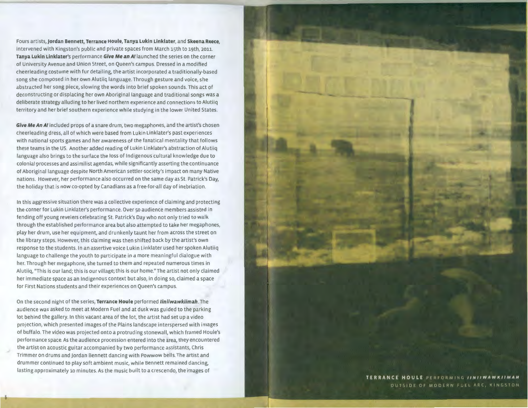Fours artists, Jordan Bennett, Terrance Houle, Tanya Lukin Linklater, and Skeena Reece, intervened with Kingston's public and private spaces from March 15th to 19th, 2011. **Tanya Lukin Linklater's** performance *Give Me* **an** *A!* launched the series on the corner of University Avenue and Union Street, on Queen's campus. Dressed in a modified cheerleading costume with fur detailing, the artist incorporated a traditionally-based song she composed in her own Alutiiq language. Through gesture and voice, she abstracted her song piece, slowing the words into brief spoken sounds. This act of deconstructing or displacing her own Aboriginal language and traditional songs was a deliberate strategy alluding to her lived northern experience and connections to Alutiiq territory and her brief southern experience while studying in the lower United States.

*Give Me An A!* included props of a snare drum, two megaphones, and the artist's chosen cheerleading dress, all of which were based from Lukin Linklater's past experiences with national sports games and her awareness of the fanatical mentality that follows these teams in the us. Another added reading of Lukin Linklater's abstraction of Alutiiq language also brings to the surface the loss of Indigenous cultural knowledge due to colonial processes and assimilist agendas, while significantly asserting the continuance of Aboriginal language despite North American settler-society's impact on many Native nations. However, her performance also occurred on the same day as St. Patrick's Day, the holiday that is now co-opted by Canadians as a free-for-all day of inebriation.

In this aggressive situation there was a collective experience of claiming and protecting the corner for Lukin Linklater's performance. Over so audience members assisted in fending off young revelers celebrating St. Patrick's Day who not only tried to walk through the established performance area but also attempted to take her megaphones, play her drum, use her equipment, and drunkenly taunt her from across the street on the library steps. However, this claiming was then shifted back by the artist's own response to the students. In an assertive voice Lukin Linklater used her spoken Alutiiq language to challenge the youth to participate in a more meaningful dialogue with her. Through her megaphone, she turned to them and repeated numerous times in Alutiiq, "This is our land; this is our village; this is our home." The artist not only claimed her immediate space as an Indigenous context but also, in doing so, claimed a space for First Nations students and their experiences on Queen's campus.

On the second night of the series, **Terrance Houle** performed *liniiwawkiimah.* The audience was asked to meet at Modern Fuel and at dusk was guided to the parking lot behind the gallery. In this vacant area of the lot, the artist had set up a video projection, which presented images of the Plains landscape interspersed with images of buffalo. The video was projected onto a protruding stonewall, which framed Houle's performance space. As the audience procession entered into the area, they encountered the artist on acoustic guitar accompanied by two performance assistants, Chris Trimmer on drums and jordan Bennett dancing with Powwow bells. The artist and drummer continued to play soft ambient music, while Bennett remained dancing, lasting approximately 10 minutes. As the music built to a crescendo, the images of

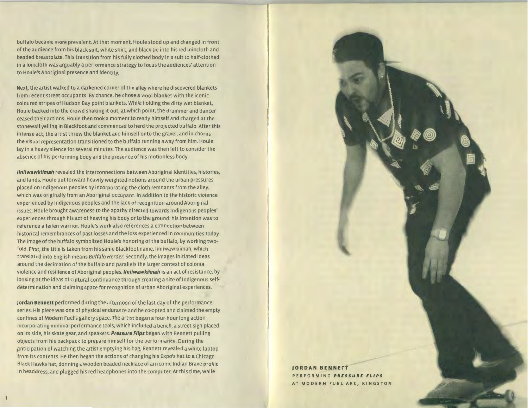buffalo became more prevalent. At that moment, Houle stood up and changed in front of the audience from his black suit, white shirt, and black tie into his red loincloth and beaded breastplate. This transition from his fully clothed body in a suit to half-clothed in a loincloth was arguably a performance strategy to focus the audiences' attention to Houle's Aboriginal presence and identity.

Next, the artist walked to a darkened corner of the alley where he discovered blankets from recent street occupants. By chance, he chose a wool blanket with the iconic coloured stripes of Hudson Bay point blankets. While holding the dirty wet blanket, Houle backed into the crowd shaking it out, at which point, the drummer and dancer ceased their actions. Houle then took a moment to ready himself and charged at the stonewall yelling in Blackfoot and commenced to herd the projected buffalo. After this intense act, the artist threw the blanket and himself onto the gravel, and in chorus the visual representation transitioned to the buffalo running away from him. Houle lay in a heavy silence for several minutes. The audience was then left to consider the absence of his performing body and the presence of his motionless body.

*liniiwawkiimah* revealed the interconnections between Aboriginal identities, histories, and lands. Houle put forward heavily weighted notions around the urban pressures placed on Indigenous peoples by incorporating the cloth remnants from the alley, which was originally from an Aboriginal occupant. In addition to the historic violence experienced by Indigenous peoples and the lack of recognition around Aboriginal issues, Houle brought awareness to the apathy directed towards Indigenous peoples' experiences through his act of heaving his body onto the ground: his intention was to reference a fallen warrior. Houle's work also references a connection between historical remembrances of past losses and the loss experienced in communities today. The image of the buffalo symbolized Houle's honoring of the buffalo, by working twofold. First, the title is taken from his same Blackfoot name, liniiwawkiimah, which translated into English means *Buffalo Herder.* Secondly, the images initiated ideas around the decimation of the buffalo and parallels the larger context of colonial violence and resilience of Aboriginal *peoples.liniiwawkiimah* is an act of resistance, by looking at the ideas of cultural continuance through creating a site of Indigenous selfdetermination and claiming space for recognition of urban Aboriginal experiences.

**jordan Bennett** performed during the afternoon of the last day of the performance series. His piece was one of physical endurance and he co-opted and claimed the empty confines of Modern Fuel's gallery space. The artist began a four-hour long action incorporating minimal performance tools, which included a bench, a street sign placed on its side, his skate gear, and speakers. *Pressure Flips* began with Bennett pulling objects from his backpack to prepare himself for the performance. During the p.nticipation of watching the artist emptying his bag, Bennett revealed a white laptop from its contents. He then began the actions of changing his Expo's hat to a Chicago Black Hawks hat, donning a wooden beaded necklace of an iconic Indian Brave profile in headdress, and plugged his red headphones into the computer. At this time, while **JORDAN BENNETT JORDAN BENNETT** 

PERFORMING *PRESSURE FLIPS*  AT MODERN FUEL ARC, KINGSTON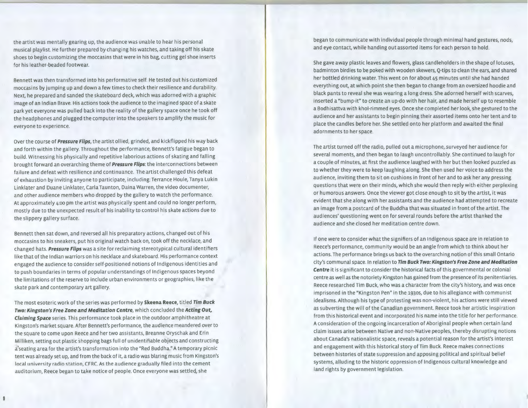the artist was mentally gearing up, the audience was unable to hear his personal musical playlist. He further prepared by changing his watches, and taking off his skate shoes to begin customizing the moccasins that were in his bag, cutting gel shoe inserts for his leather-beaded footwear.

Bennett was then transformed into his performative self. He tested out his customized moccasins by jumping up and down a few times to check their resilience and durability. Next, he prepared and sanded the skateboard deck, which was adorned with a graphic image of an Indian Brave. His actions took the audience to the imagined space of a skate park yet everyone was pulled back into the reality of the gallery space once he took off the headphones and plugged the computer into the speakers to amplify the music for everyone to experience.

Over the course of *Pressure Flips,* the artist allied, grinded, and kickflipped his way back and forth within the gallery. Throughout the performance, Bennett's fatigue began to build . Witnessing his physically and repetitive laborious actions of skating and falling brought forward an overarching theme of *Pressure Flips:* the interconnections between failure and defeat with resilience and continuance. The artist challenged this defeat of exhaustion by inviting anyone to participate, including: Terrance Houle, Tanya Lukin Linklater and Duane Linklater, Carla Taunton, Daina Warren, the video documenter, and other audience members who dropped by the gallery to watch the performance. At approximately 4:00 pm the artist was physically spent and could no longer perform, mostly due to the unexpected result of his inability to control his skate actions due to the slippery gallery surface.

Bennett then sat down, and reversed all his preparatory actions, changed out of his moccasins to his sneakers, put his original watch back on, took off the necklace, and changed hats. *Pressure Flips* was a site for reclaiming stereotypical cultural identifiers like that of the Indian warriors on his necklace and skateboard. His performance context engaged the audience to consider self-positioned notions of Indigenous identities and to push boundaries in terms of popular understandings of Indigenous spaces beyond the limitations of the reserve to include urban environments or geographies, like the skate park and contemporary art gallery.

The most esoteric work of the series was performed by **Skeena Reece,** titled *Tim Buck Two: Kingston's Free Zone and Meditation Centre,* which concluded the *Acting Out, Claiming Space* series. This performance took place in the outdoor amphitheatre at Kingston's market square. After Bennett's performance, the audience meandered over to the square to come upon Reece and her two assistants, Breanne Oryschak and Erin Milliken, setting out plastic shopping bags full of unidentifiable objects and constructing a'seating area for the artist's transformation into the "Red Buddha." A temporary picnic tent was already set up, and from the back of it, a radio was blaring music from Kingston's local university radio station, CFRC. As the audience gradually filed into the cement auditorium, Reece began to take notice of people. Once everyone was settled, she

began to communicate with individual people through minimal hand gestures, nods, and eye contact, while handing out assorted items for each person to hold.

She gave away plastic leaves and flowers, glass candleholders in the shape of lotuses, badminton birdies to be poked with wooden skewers, Q-tips to clean the ears, and shared her bottled drinking water. This went on for about 45 minutes until she had handed everything out, at which point she then began to change from an oversized hoodie and black pants to reveal she was wearing a long dress. She adorned herself with scarves, inserted a "bump-it" to create an up-do with her hair, and made herself up to resemble a Bodhisattva with khol-rimmed eyes. Once she completed her look, she gestured to the audience and her assistants to begin pinning their assorted items onto her tent and to place the candles before her. She settled onto her platform and awaited the final adornments to her space.

The artist turned off the radio, pulled out a microphone, surveyed her audience for several moments, and then began to laugh uncontrollably. She continued to laugh for a couple of minutes, at first the audience laughed with her but then looked puzzled as to whether they were to keep laughing along. She then used her voice to address the audience, inviting them to sit on cushions in front of her and to ask her any pressing questions that were on their minds, which she would then reply with either perplexing or humorous answers. Once the viewer got close enough to sit by the artist, it was evident that she along with her assistants and the audience had attempted to recreate an image from a postcard of the Buddha that was situated in front of the artist. The audiences' questioning went on for several rounds before the artist thanked the audience and she closed her meditation centre down.

If one were to consider what the signifiers of an Indigenous space are in relation to Reece's performance, community would be an angle from which to think about her actions. The performance brings us back to the overarching notion of this small Ontario city's communal space. In relation to *Tim Buck Two: Kingston's Free Zone and Meditation Centre* it is significant to consider the historical facts of this governmental or colonial centre as well as the notoriety Kingston has gained from the presence of its penitentiaries. Reece researched Tim Buck, who was a character from the city's history, and was once imprisoned in the "Kingston Pen" in the 1930s, due to his allegiance with communist idealisms. Although his type of protesting was non-violent, his actions were still viewed as subverting the will of the Canadian government. Reece took her artistic inspiration from this historical event and incorporated his name into the title for her performance. A consideration of the ongoing incarceration of Aboriginal people when certain land claim issues arise between Native and non-Native peoples, thereby disrupting notions about Canada's nationalistic space, reveals a potential reason for the artist's interest and engagement with this historical story of Tim Buck. Reece makes connections between histories of state suppression and apposing political and spiritual belief systems, alluding to the historic oppression of Indigenous cultural knowledge and land rights by government legislation.